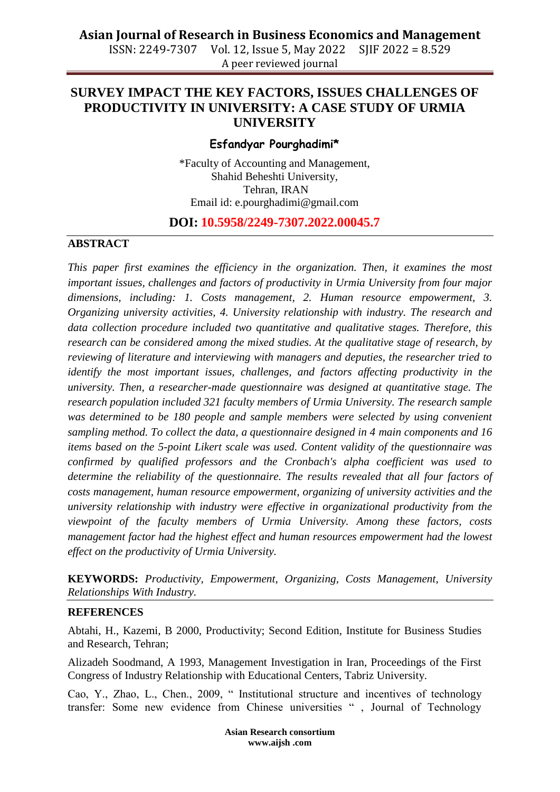# **Asian Journal of Research in Business Economics and Management**

ISSN: 2249-7307 Vol. 12, Issue 5, May 2022 SJIF 2022 = 8.529 A peer reviewed journal

## **SURVEY IMPACT THE KEY FACTORS, ISSUES CHALLENGES OF PRODUCTIVITY IN UNIVERSITY: A CASE STUDY OF URMIA UNIVERSITY**

### **Esfandyar Pourghadimi\***

\*Faculty of Accounting and Management, Shahid Beheshti University, Tehran, IRAN Email id: [e.pourghadimi@gmail.com](mailto:e.pourghadimi@gmail.com)

### **DOI: 10.5958/2249-7307.2022.00045.7**

#### **ABSTRACT**

*This paper first examines the efficiency in the organization. Then, it examines the most important issues, challenges and factors of productivity in Urmia University from four major dimensions, including: 1. Costs management, 2. Human resource empowerment, 3. Organizing university activities, 4. University relationship with industry. The research and data collection procedure included two quantitative and qualitative stages. Therefore, this research can be considered among the mixed studies. At the qualitative stage of research, by reviewing of literature and interviewing with managers and deputies, the researcher tried to identify the most important issues, challenges, and factors affecting productivity in the university. Then, a researcher-made questionnaire was designed at quantitative stage. The research population included 321 faculty members of Urmia University. The research sample was determined to be 180 people and sample members were selected by using convenient sampling method. To collect the data, a questionnaire designed in 4 main components and 16 items based on the 5-point Likert scale was used. Content validity of the questionnaire was confirmed by qualified professors and the Cronbach's alpha coefficient was used to determine the reliability of the questionnaire. The results revealed that all four factors of costs management, human resource empowerment, organizing of university activities and the university relationship with industry were effective in organizational productivity from the viewpoint of the faculty members of Urmia University. Among these factors, costs management factor had the highest effect and human resources empowerment had the lowest effect on the productivity of Urmia University.*

**KEYWORDS:** *Productivity, Empowerment, Organizing, Costs Management, University Relationships With Industry.*

#### **REFERENCES**

Abtahi, H., Kazemi, B 2000, Productivity; Second Edition, Institute for Business Studies and Research, Tehran;

Alizadeh Soodmand, A 1993, Management Investigation in Iran, Proceedings of the First Congress of Industry Relationship with Educational Centers, Tabriz University.

Cao, Y., Zhao, L., Chen., 2009, " Institutional structure and incentives of technology transfer: Some new evidence from Chinese universities " , Journal of Technology

> **Asian Research consortium www.aijsh .com**